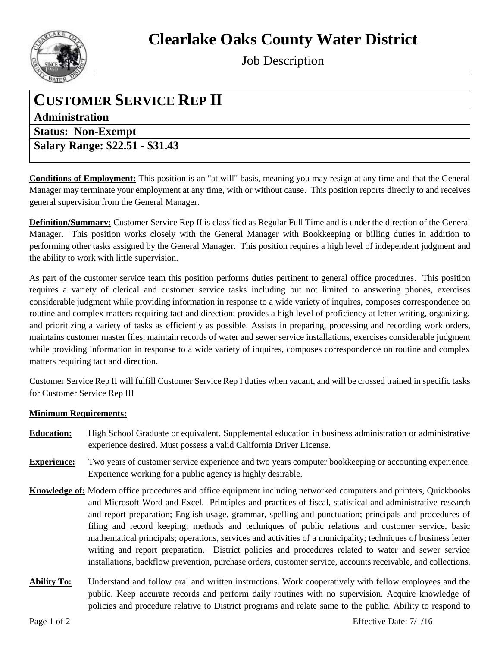**Clearlake Oaks County Water District**



Job Description

## **CUSTOMER SERVICE REP II**

**Administration**

**Status: Non-Exempt** 

**Salary Range: \$22.51 - \$31.43**

**Conditions of Employment:** This position is an "at will" basis, meaning you may resign at any time and that the General Manager may terminate your employment at any time, with or without cause. This position reports directly to and receives general supervision from the General Manager.

**Definition/Summary:** Customer Service Rep II is classified as Regular Full Time and is under the direction of the General Manager. This position works closely with the General Manager with Bookkeeping or billing duties in addition to performing other tasks assigned by the General Manager. This position requires a high level of independent judgment and the ability to work with little supervision.

As part of the customer service team this position performs duties pertinent to general office procedures. This position requires a variety of clerical and customer service tasks including but not limited to answering phones, exercises considerable judgment while providing information in response to a wide variety of inquires, composes correspondence on routine and complex matters requiring tact and direction; provides a high level of proficiency at letter writing, organizing, and prioritizing a variety of tasks as efficiently as possible. Assists in preparing, processing and recording work orders, maintains customer master files, maintain records of water and sewer service installations, exercises considerable judgment while providing information in response to a wide variety of inquires, composes correspondence on routine and complex matters requiring tact and direction.

Customer Service Rep II will fulfill Customer Service Rep I duties when vacant, and will be crossed trained in specific tasks for Customer Service Rep III

## **Minimum Requirements:**

- **Education:** High School Graduate or equivalent. Supplemental education in business administration or administrative experience desired. Must possess a valid California Driver License.
- **Experience:** Two years of customer service experience and two years computer bookkeeping or accounting experience. Experience working for a public agency is highly desirable.
- **Knowledge of:** Modern office procedures and office equipment including networked computers and printers, Quickbooks and Microsoft Word and Excel. Principles and practices of fiscal, statistical and administrative research and report preparation; English usage, grammar, spelling and punctuation; principals and procedures of filing and record keeping; methods and techniques of public relations and customer service, basic mathematical principals; operations, services and activities of a municipality; techniques of business letter writing and report preparation. District policies and procedures related to water and sewer service installations, backflow prevention, purchase orders, customer service, accounts receivable, and collections.
- **Ability To:** Understand and follow oral and written instructions. Work cooperatively with fellow employees and the public. Keep accurate records and perform daily routines with no supervision. Acquire knowledge of policies and procedure relative to District programs and relate same to the public. Ability to respond to